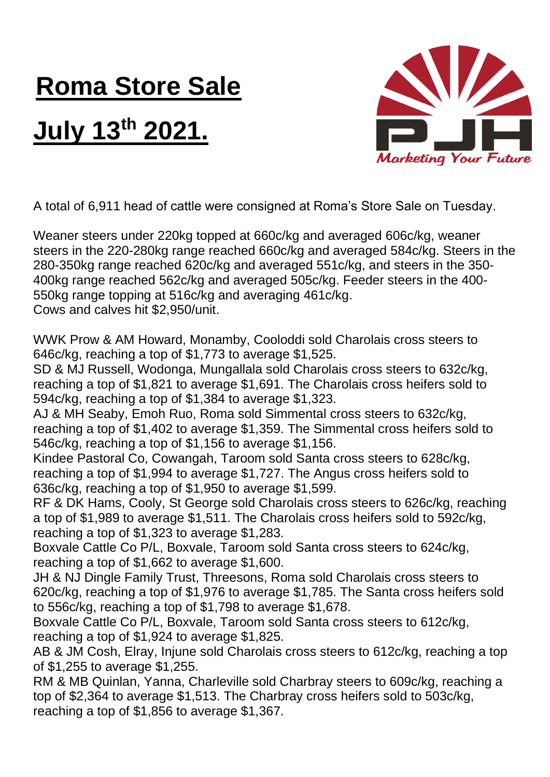## **Roma Store Sale**

## **July 13th 2021.**



A total of 6,911 head of cattle were consigned at Roma's Store Sale on Tuesday.

Weaner steers under 220kg topped at 660c/kg and averaged 606c/kg, weaner steers in the 220-280kg range reached 660c/kg and averaged 584c/kg. Steers in the 280-350kg range reached 620c/kg and averaged 551c/kg, and steers in the 350- 400kg range reached 562c/kg and averaged 505c/kg. Feeder steers in the 400- 550kg range topping at 516c/kg and averaging 461c/kg. Cows and calves hit \$2,950/unit.

WWK Prow & AM Howard, Monamby, Cooloddi sold Charolais cross steers to 646c/kg, reaching a top of \$1,773 to average \$1,525.

SD & MJ Russell, Wodonga, Mungallala sold Charolais cross steers to 632c/kg, reaching a top of \$1,821 to average \$1,691. The Charolais cross heifers sold to 594c/kg, reaching a top of \$1,384 to average \$1,323.

AJ & MH Seaby, Emoh Ruo, Roma sold Simmental cross steers to 632c/kg, reaching a top of \$1,402 to average \$1,359. The Simmental cross heifers sold to 546c/kg, reaching a top of \$1,156 to average \$1,156.

Kindee Pastoral Co, Cowangah, Taroom sold Santa cross steers to 628c/kg, reaching a top of \$1,994 to average \$1,727. The Angus cross heifers sold to 636c/kg, reaching a top of \$1,950 to average \$1,599.

RF & DK Hams, Cooly, St George sold Charolais cross steers to 626c/kg, reaching a top of \$1,989 to average \$1,511. The Charolais cross heifers sold to 592c/kg, reaching a top of \$1,323 to average \$1,283.

Boxvale Cattle Co P/L, Boxvale, Taroom sold Santa cross steers to 624c/kg, reaching a top of \$1,662 to average \$1,600.

JH & NJ Dingle Family Trust, Threesons, Roma sold Charolais cross steers to 620c/kg, reaching a top of \$1,976 to average \$1,785. The Santa cross heifers sold to 556c/kg, reaching a top of \$1,798 to average \$1,678.

Boxvale Cattle Co P/L, Boxvale, Taroom sold Santa cross steers to 612c/kg, reaching a top of \$1,924 to average \$1,825.

AB & JM Cosh, Elray, Injune sold Charolais cross steers to 612c/kg, reaching a top of \$1,255 to average \$1,255.

RM & MB Quinlan, Yanna, Charleville sold Charbray steers to 609c/kg, reaching a top of \$2,364 to average \$1,513. The Charbray cross heifers sold to 503c/kg, reaching a top of \$1,856 to average \$1,367.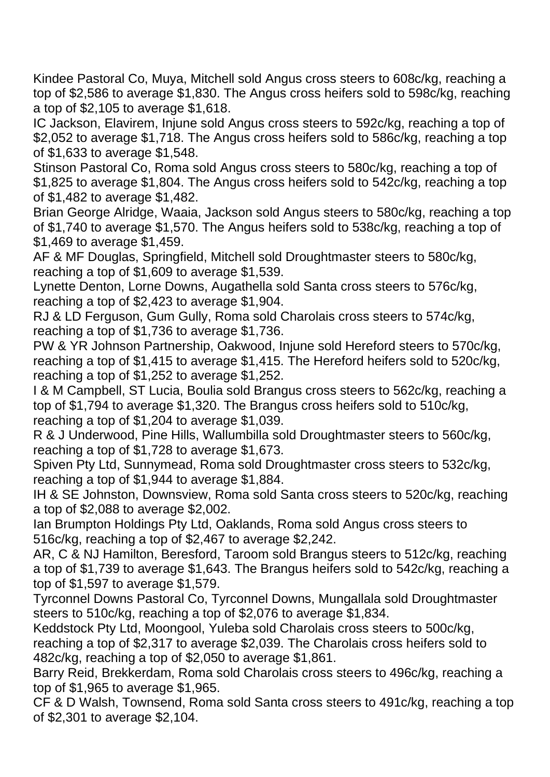Kindee Pastoral Co, Muya, Mitchell sold Angus cross steers to 608c/kg, reaching a top of \$2,586 to average \$1,830. The Angus cross heifers sold to 598c/kg, reaching a top of \$2,105 to average \$1,618.

IC Jackson, Elavirem, Injune sold Angus cross steers to 592c/kg, reaching a top of \$2,052 to average \$1,718. The Angus cross heifers sold to 586c/kg, reaching a top of \$1,633 to average \$1,548.

Stinson Pastoral Co, Roma sold Angus cross steers to 580c/kg, reaching a top of \$1,825 to average \$1,804. The Angus cross heifers sold to 542c/kg, reaching a top of \$1,482 to average \$1,482.

Brian George Alridge, Waaia, Jackson sold Angus steers to 580c/kg, reaching a top of \$1,740 to average \$1,570. The Angus heifers sold to 538c/kg, reaching a top of \$1,469 to average \$1,459.

AF & MF Douglas, Springfield, Mitchell sold Droughtmaster steers to 580c/kg, reaching a top of \$1,609 to average \$1,539.

Lynette Denton, Lorne Downs, Augathella sold Santa cross steers to 576c/kg, reaching a top of \$2,423 to average \$1,904.

RJ & LD Ferguson, Gum Gully, Roma sold Charolais cross steers to 574c/kg, reaching a top of \$1,736 to average \$1,736.

PW & YR Johnson Partnership, Oakwood, Injune sold Hereford steers to 570c/kg, reaching a top of \$1,415 to average \$1,415. The Hereford heifers sold to 520c/kg, reaching a top of \$1,252 to average \$1,252.

I & M Campbell, ST Lucia, Boulia sold Brangus cross steers to 562c/kg, reaching a top of \$1,794 to average \$1,320. The Brangus cross heifers sold to 510c/kg, reaching a top of \$1,204 to average \$1,039.

R & J Underwood, Pine Hills, Wallumbilla sold Droughtmaster steers to 560c/kg, reaching a top of \$1,728 to average \$1,673.

Spiven Pty Ltd, Sunnymead, Roma sold Droughtmaster cross steers to 532c/kg, reaching a top of \$1,944 to average \$1,884.

IH & SE Johnston, Downsview, Roma sold Santa cross steers to 520c/kg, reaching a top of \$2,088 to average \$2,002.

Ian Brumpton Holdings Pty Ltd, Oaklands, Roma sold Angus cross steers to 516c/kg, reaching a top of \$2,467 to average \$2,242.

AR, C & NJ Hamilton, Beresford, Taroom sold Brangus steers to 512c/kg, reaching a top of \$1,739 to average \$1,643. The Brangus heifers sold to 542c/kg, reaching a top of \$1,597 to average \$1,579.

Tyrconnel Downs Pastoral Co, Tyrconnel Downs, Mungallala sold Droughtmaster steers to 510c/kg, reaching a top of \$2,076 to average \$1,834.

Keddstock Pty Ltd, Moongool, Yuleba sold Charolais cross steers to 500c/kg, reaching a top of \$2,317 to average \$2,039. The Charolais cross heifers sold to 482c/kg, reaching a top of \$2,050 to average \$1,861.

Barry Reid, Brekkerdam, Roma sold Charolais cross steers to 496c/kg, reaching a top of \$1,965 to average \$1,965.

CF & D Walsh, Townsend, Roma sold Santa cross steers to 491c/kg, reaching a top of \$2,301 to average \$2,104.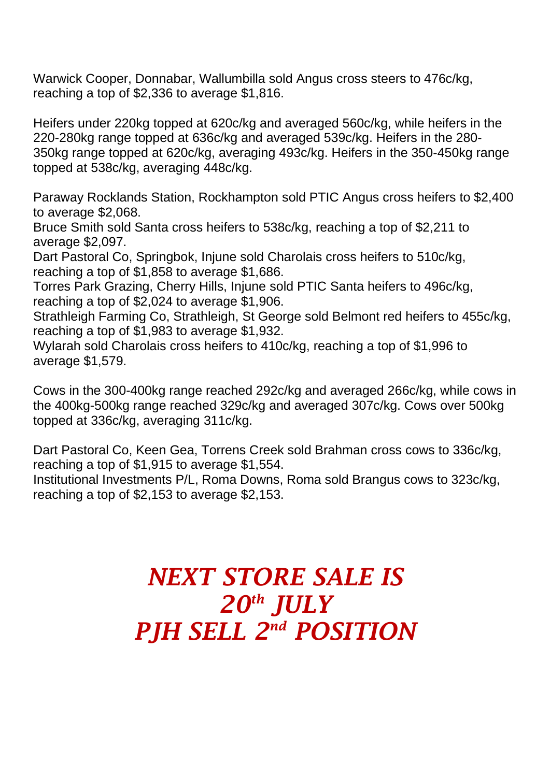Warwick Cooper, Donnabar, Wallumbilla sold Angus cross steers to 476c/kg, reaching a top of \$2,336 to average \$1,816.

Heifers under 220kg topped at 620c/kg and averaged 560c/kg, while heifers in the 220-280kg range topped at 636c/kg and averaged 539c/kg. Heifers in the 280- 350kg range topped at 620c/kg, averaging 493c/kg. Heifers in the 350-450kg range topped at 538c/kg, averaging 448c/kg.

Paraway Rocklands Station, Rockhampton sold PTIC Angus cross heifers to \$2,400 to average \$2,068.

Bruce Smith sold Santa cross heifers to 538c/kg, reaching a top of \$2,211 to average \$2,097.

Dart Pastoral Co, Springbok, Injune sold Charolais cross heifers to 510c/kg, reaching a top of \$1,858 to average \$1,686.

Torres Park Grazing, Cherry Hills, Injune sold PTIC Santa heifers to 496c/kg, reaching a top of \$2,024 to average \$1,906.

Strathleigh Farming Co, Strathleigh, St George sold Belmont red heifers to 455c/kg, reaching a top of \$1,983 to average \$1,932.

Wylarah sold Charolais cross heifers to 410c/kg, reaching a top of \$1,996 to average \$1,579.

Cows in the 300-400kg range reached 292c/kg and averaged 266c/kg, while cows in the 400kg-500kg range reached 329c/kg and averaged 307c/kg. Cows over 500kg topped at 336c/kg, averaging 311c/kg.

Dart Pastoral Co, Keen Gea, Torrens Creek sold Brahman cross cows to 336c/kg, reaching a top of \$1,915 to average \$1,554.

Institutional Investments P/L, Roma Downs, Roma sold Brangus cows to 323c/kg, reaching a top of \$2,153 to average \$2,153.

## *NEXT STORE SALE IS 20th JULY PJH SELL 2 nd POSITION*